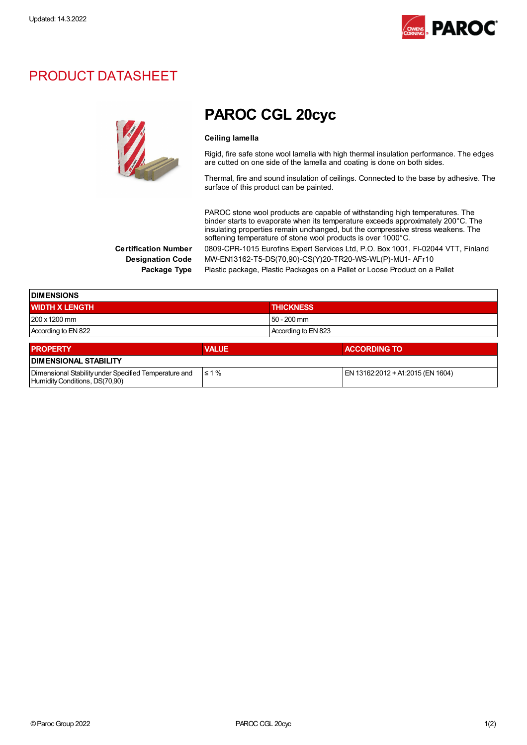

### PRODUCT DATASHEET

Humidity Conditions, DS(70,90)



## PAROC CGL 20cyc

#### Ceiling lamella

Rigid, fire safe stone wool lamella with high thermal insulation performance. The edges are cutted on one side of the lamella and coating is done on both sides.

Thermal, fire and sound insulation of ceilings. Connected to the base by adhesive. The surface of this product can be painted.

PAROC stone wool products are capable of withstanding high temperatures. The binder starts to evaporate when its temperature exceeds approximately 200°C. The insulating properties remain unchanged, but the compressive stress weakens. The softening temperature of stone wool products is over 1000°C. Certification Number 0809-CPR-1015 Eurofins Expert Services Ltd, P.O. Box 1001, FI-02044 VTT, Finland

Designation Code MW-EN13162-T5-DS(70,90)-CS(Y)20-TR20-WS-WL(P)-MU1- AFr10

Package Type Plastic package, Plastic Packages on a Pallet or Loose Product on a Pallet

| <b>DIMENSIONS</b>                                     |              |                                   |  |  |
|-------------------------------------------------------|--------------|-----------------------------------|--|--|
| <b>WIDTH X LENGTH</b>                                 |              | <b>THICKNESS</b>                  |  |  |
| $1200 \times 1200$ mm                                 |              | $50 - 200$ mm                     |  |  |
| According to EN 822                                   |              | According to EN 823               |  |  |
| <b>PROPERTY</b>                                       | <b>VALUE</b> | <b>ACCORDING TO</b>               |  |  |
| <b>I DIMENSIONAL STABILITY</b>                        |              |                                   |  |  |
| Dimensional Stability under Specified Temperature and | $\leq 1\%$   | EN 13162:2012 + A1:2015 (EN 1604) |  |  |